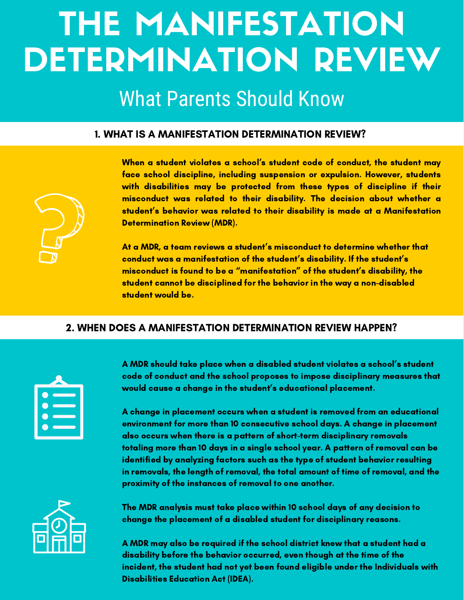## THE MANIFESTATION DETERMINATION REVIEW

### What Parents Should Know

#### 1. WHAT IS A MANIFESTATION DETERMINATION REVIEW?

When a student violates a school's student code of conduct, the student may face school discipline, including suspension or expulsion. However, students with disabilities may be protected from these types of discipline if their misconduct was related to their disability. The decision about whether a student's behavior was related to their disability is made at a Manifestation Determination Review (MDR).

At a MDR, a team reviews a student's misconduct to determine whether that conduct was a manifestation of the student's disability. If the student's misconduct is found to be a "manifestation" of the student's disability, the student cannot be disciplined for the behavior in the way a non-disabled student would be.

#### 2. WHEN DOES A MANIFESTATION DETERMINATION REVIEW HAPPEN?

A MDR should take place when a disabled student violates a school's student code of conduct and the school proposes to impose disciplinary measures that would cause a change in the student's educational placement.

A change in placement occurs when a student is removed from an educational environment for more than 10 consecutive school days. A change in placement also occurs when there is a pattern of short-term disciplinary removals totaling more than 10 days in a single school year. A pattern of removal can be identified by analyzing factors such as the type of student behavior resulting in removals, the length of removal, the total amount of time of removal, and the proximity of the instances of removal to one another.



The MDR analysis must take place within 10 school days of any decision to change the placement of a disabled student for disciplinary reasons.

A MDR may also be required if the school district knew that a student had a disability before the behavior occurred, even though at the time of the incident, the student had not yet been found eligible under the Individuals with Disabilities Education Act (IDEA).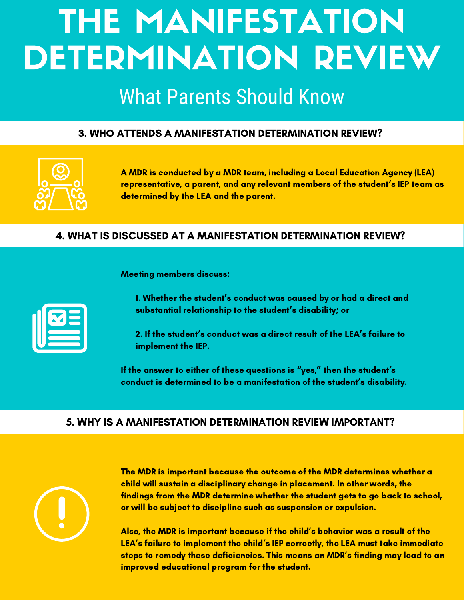## THE MANIFESTATION DETERMINATION REVIEW

## What Parents Should Know

#### 3. WHO ATTENDS A MANIFESTATION DETERMINATION REVIEW?



A MDR is conducted by a MDR team, including a Local Education Agency (LEA) representative, a parent, and any relevant members of the student's IEP team as determined by the LEA and the parent.

#### 4. WHAT IS DISCUSSED AT A MANIFESTATION DETERMINATION REVIEW?

Meeting members discuss:

1. Whether the student's conduct was caused by or had a direct and substantial relationship to the student's disability; or

2. If the student's conduct was a direct result of the LEA's failure to implement the IEP.

If the answer to either of these questions is "yes," then the student's conduct is determined to be a manifestation of the student's disability.

#### 5. WHY IS A MANIFESTATION DETERMINATION REVIEW IMPORTANT?



The MDR is important because the outcome of the MDR determines whether a child will sustain a disciplinary change in placement. In other words, the findings from the MDR determine whether the student gets to go back to school, or will be subject to discipline such as suspension or expulsion.

Also, the MDR is important because if the child's behavior was a result of the LEA's failure to implement the child's IEP correctly, the LEA must take immediate steps to remedy these deficiencies. This means an MDR's finding may lead to an improved educational program for the student.